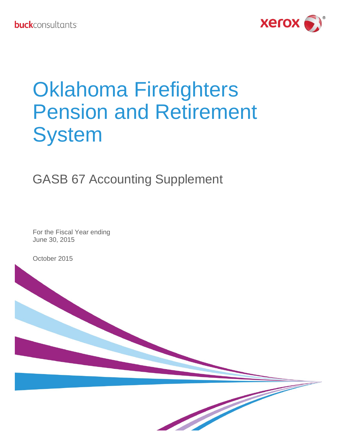

# Oklahoma Firefighters Pension and Retirement **System**

# GASB 67 Accounting Supplement

For the Fiscal Year ending June 30, 2015

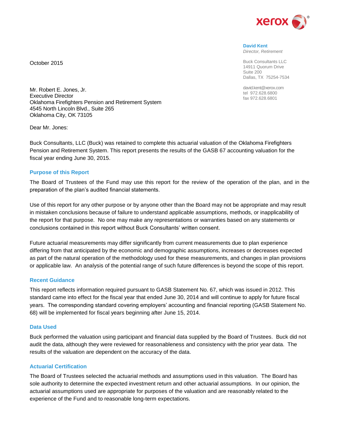

**David Kent** *Director, Retirement*

Buck Consultants LLC 14911 Quorum Drive Suite 200 Dallas, TX 75254-7534

david.kent@xerox.com tel 972.628.6800 fax 972.628.6801

Mr. Robert E. Jones, Jr. Executive Director Oklahoma Firefighters Pension and Retirement System 4545 North Lincoln Blvd., Suite 265 Oklahoma City, OK 73105

Dear Mr. Jones:

October 2015

Buck Consultants, LLC (Buck) was retained to complete this actuarial valuation of the Oklahoma Firefighters Pension and Retirement System. This report presents the results of the GASB 67 accounting valuation for the fiscal year ending June 30, 2015.

#### **Purpose of this Report**

The Board of Trustees of the Fund may use this report for the review of the operation of the plan, and in the preparation of the plan's audited financial statements.

Use of this report for any other purpose or by anyone other than the Board may not be appropriate and may result in mistaken conclusions because of failure to understand applicable assumptions, methods, or inapplicability of the report for that purpose. No one may make any representations or warranties based on any statements or conclusions contained in this report without Buck Consultants' written consent.

Future actuarial measurements may differ significantly from current measurements due to plan experience differing from that anticipated by the economic and demographic assumptions, increases or decreases expected as part of the natural operation of the methodology used for these measurements, and changes in plan provisions or applicable law. An analysis of the potential range of such future differences is beyond the scope of this report.

#### **Recent Guidance**

This report reflects information required pursuant to GASB Statement No. 67, which was issued in 2012. This standard came into effect for the fiscal year that ended June 30, 2014 and will continue to apply for future fiscal years. The corresponding standard covering employers' accounting and financial reporting (GASB Statement No. 68) will be implemented for fiscal years beginning after June 15, 2014.

#### **Data Used**

Buck performed the valuation using participant and financial data supplied by the Board of Trustees. Buck did not audit the data, although they were reviewed for reasonableness and consistency with the prior year data. The results of the valuation are dependent on the accuracy of the data.

#### **Actuarial Certification**

The Board of Trustees selected the actuarial methods and assumptions used in this valuation. The Board has sole authority to determine the expected investment return and other actuarial assumptions. In our opinion, the actuarial assumptions used are appropriate for purposes of the valuation and are reasonably related to the experience of the Fund and to reasonable long-term expectations.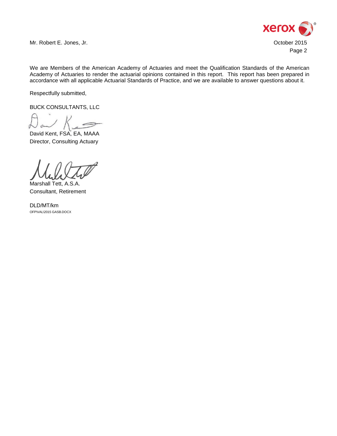

Mr. Robert E. Jones, Jr. October 2015

We are Members of the American Academy of Actuaries and meet the Qualification Standards of the American Academy of Actuaries to render the actuarial opinions contained in this report. This report has been prepared in accordance with all applicable Actuarial Standards of Practice, and we are available to answer questions about it.

Respectfully submitted,

BUCK CONSULTANTS, LLC

David Kent, FSA, EA, MAAA Director, Consulting Actuary

Marshall Tett, A.S.A. Consultant, Retirement

DLD/MT/km OFP\VAL\2015 GASB.DOCX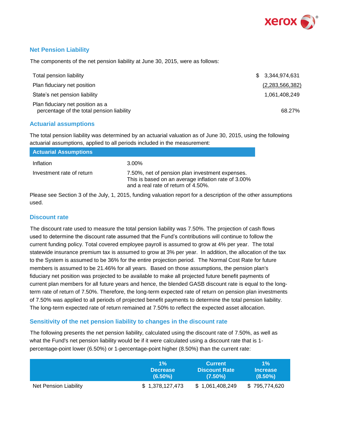

#### **Net Pension Liability**

The components of the net pension liability at June 30, 2015, were as follows:

| Total pension liability                                                       | \$ 3.344.974.631 |
|-------------------------------------------------------------------------------|------------------|
| Plan fiduciary net position                                                   | (2,283,566,382)  |
| State's net pension liability                                                 | 1,061,408,249    |
| Plan fiduciary net position as a<br>percentage of the total pension liability | 68.27%           |

#### **Actuarial assumptions**

The total pension liability was determined by an actuarial valuation as of June 30, 2015, using the following actuarial assumptions, applied to all periods included in the measurement:

| <b>Actuarial Assumptions</b> |                                                                                                                                               |
|------------------------------|-----------------------------------------------------------------------------------------------------------------------------------------------|
| Inflation                    | 3.00%                                                                                                                                         |
| Investment rate of return    | 7.50%, net of pension plan investment expenses.<br>This is based on an average inflation rate of 3.00%<br>and a real rate of return of 4.50%. |

Please see Section 3 of the July, 1, 2015, funding valuation report for a description of the other assumptions used.

#### **Discount rate**

The discount rate used to measure the total pension liability was 7.50%. The projection of cash flows used to determine the discount rate assumed that the Fund's contributions will continue to follow the current funding policy. Total covered employee payroll is assumed to grow at 4% per year. The total statewide insurance premium tax is assumed to grow at 3% per year. In addition, the allocation of the tax to the System is assumed to be 36% for the entire projection period. The Normal Cost Rate for future members is assumed to be 21.46% for all years. Based on those assumptions, the pension plan's fiduciary net position was projected to be available to make all projected future benefit payments of current plan members for all future years and hence, the blended GASB discount rate is equal to the longterm rate of return of 7.50%. Therefore, the long-term expected rate of return on pension plan investments of 7.50% was applied to all periods of projected benefit payments to determine the total pension liability. The long-term expected rate of return remained at 7.50% to reflect the expected asset allocation.

#### **Sensitivity of the net pension liability to changes in the discount rate**

The following presents the net pension liability, calculated using the discount rate of 7.50%, as well as what the Fund's net pension liability would be if it were calculated using a discount rate that is 1 percentage-point lower (6.50%) or 1-percentage-point higher (8.50%) than the current rate:

|                       | $1\%$           | <b>Current</b>       | $1\%$           |
|-----------------------|-----------------|----------------------|-----------------|
|                       | <b>Decrease</b> | <b>Discount Rate</b> | <b>Increase</b> |
|                       | $(6.50\%)$      | $(7.50\%)$           | $(8.50\%)$      |
| Net Pension Liability | \$1,378,127,473 | \$1,061,408,249      | \$795,774,620   |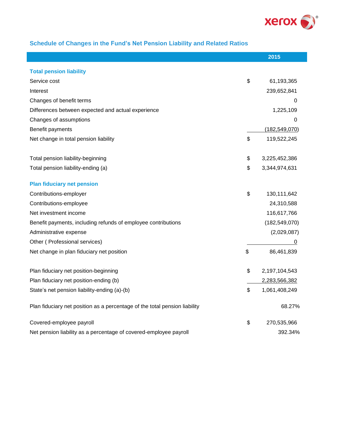

# **Schedule of Changes in the Fund's Net Pension Liability and Related Ratios**

I

|                                                                            | 2015                |
|----------------------------------------------------------------------------|---------------------|
| <b>Total pension liability</b>                                             |                     |
| Service cost                                                               | \$<br>61,193,365    |
| Interest                                                                   | 239,652,841         |
| Changes of benefit terms                                                   | 0                   |
| Differences between expected and actual experience                         | 1,225,109           |
| Changes of assumptions                                                     | 0                   |
|                                                                            | (182, 549, 070)     |
| Benefit payments                                                           |                     |
| Net change in total pension liability                                      | \$<br>119,522,245   |
| Total pension liability-beginning                                          | \$<br>3,225,452,386 |
| Total pension liability-ending (a)                                         | \$<br>3,344,974,631 |
| <b>Plan fiduciary net pension</b>                                          |                     |
|                                                                            | \$                  |
| Contributions-employer                                                     | 130,111,642         |
| Contributions-employee                                                     | 24,310,588          |
| Net investment income                                                      | 116,617,766         |
| Benefit payments, including refunds of employee contributions              | (182, 549, 070)     |
| Administrative expense                                                     | (2,029,087)         |
| Other (Professional services)                                              | 0                   |
| Net change in plan fiduciary net position                                  | \$<br>86,461,839    |
| Plan fiduciary net position-beginning                                      | \$<br>2,197,104,543 |
| Plan fiduciary net position-ending (b)                                     | 2,283,566,382       |
| State's net pension liability-ending (a)-(b)                               | \$<br>1,061,408,249 |
| Plan fiduciary net position as a percentage of the total pension liability | 68.27%              |
|                                                                            |                     |
| Covered-employee payroll                                                   | \$<br>270,535,966   |
| Net pension liability as a percentage of covered-employee payroll          | 392.34%             |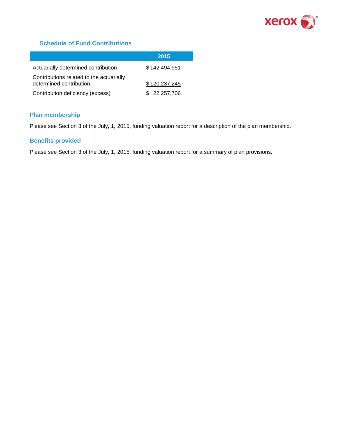

#### **Schedule of Fund Contributions**

|                                                                     | 2015          |
|---------------------------------------------------------------------|---------------|
| Actuarially determined contribution                                 | \$142,494,951 |
| Contributions related to the actuarially<br>determined contribution | \$120,237,245 |
| Contribution deficiency (excess)                                    | \$ 22,257,706 |

#### **Plan membership**

Please see Section 3 of the July, 1, 2015, funding valuation report for a description of the plan membership.

#### **Benefits provided**

Please see Section 3 of the July, 1, 2015, funding valuation report for a summary of plan provisions.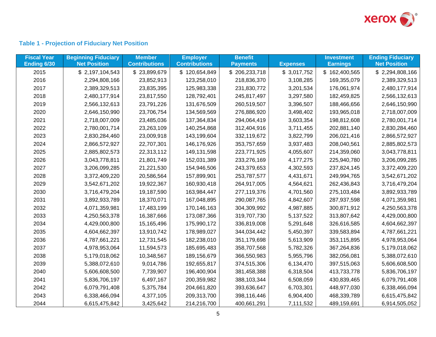

# **Table 1 - Projection of Fiduciary Net Position**

| <b>Fiscal Year</b><br>Ending 6/30 | <b>Beginning Fiduciary</b><br><b>Net Position</b> | <b>Member</b><br><b>Contributions</b> | <b>Employer</b><br><b>Contributions</b> | <b>Benefit</b><br><b>Payments</b> | <b>Expenses</b> | <b>Investment</b><br><b>Earnings</b> | <b>Ending Fiduciary</b><br><b>Net Position</b> |
|-----------------------------------|---------------------------------------------------|---------------------------------------|-----------------------------------------|-----------------------------------|-----------------|--------------------------------------|------------------------------------------------|
| 2015                              | \$2,197,104,543                                   | \$23,899,679                          | \$120,654,849                           | \$206,233,718                     | \$3,017,752     | \$162,400,565                        | \$2,294,808,166                                |
| 2016                              | 2,294,808,166                                     | 23,852,913                            | 123,258,010                             | 218,836,370                       | 3,108,285       | 169,355,079                          | 2,389,329,513                                  |
| 2017                              | 2,389,329,513                                     | 23,835,395                            | 125,983,338                             | 231,830,772                       | 3,201,534       | 176,061,974                          | 2,480,177,914                                  |
| 2018                              | 2,480,177,914                                     | 23,817,550                            | 128,792,401                             | 245,817,497                       | 3,297,580       | 182,459,825                          | 2,566,132,613                                  |
| 2019                              | 2,566,132,613                                     | 23,791,226                            | 131,676,509                             | 260,519,507                       | 3,396,507       | 188,466,656                          | 2,646,150,990                                  |
| 2020                              | 2,646,150,990                                     | 23,706,754                            | 134,569,569                             | 276,886,920                       | 3,498,402       | 193,965,018                          | 2,718,007,009                                  |
| 2021                              | 2,718,007,009                                     | 23,485,036                            | 137,364,834                             | 294,064,419                       | 3,603,354       | 198,812,608                          | 2,780,001,714                                  |
| 2022                              | 2,780,001,714                                     | 23,263,109                            | 140,254,868                             | 312,404,916                       | 3,711,455       | 202,881,140                          | 2,830,284,460                                  |
| 2023                              | 2,830,284,460                                     | 23,009,918                            | 143,199,604                             | 332,119,672                       | 3,822,799       | 206,021,416                          | 2,866,572,927                                  |
| 2024                              | 2,866,572,927                                     | 22,707,301                            | 146,176,926                             | 353,757,659                       | 3,937,483       | 208,040,561                          | 2,885,802,573                                  |
| 2025                              | 2,885,802,573                                     | 22,313,112                            | 149,131,598                             | 223,771,925                       | 4,055,607       | 214,359,060                          | 3,043,778,811                                  |
| 2026                              | 3,043,778,811                                     | 21,801,749                            | 152,031,389                             | 233,276,169                       | 4,177,275       | 225,940,780                          | 3,206,099,285                                  |
| 2027                              | 3,206,099,285                                     | 21,221,530                            | 154,946,506                             | 243,379,653                       | 4,302,593       | 237,824,145                          | 3,372,409,220                                  |
| 2028                              | 3,372,409,220                                     | 20,586,564                            | 157,899,901                             | 253,787,577                       | 4,431,671       | 249,994,765                          | 3,542,671,202                                  |
| 2029                              | 3,542,671,202                                     | 19,922,367                            | 160,930,418                             | 264,917,005                       | 4,564,621       | 262,436,843                          | 3,716,479,204                                  |
| 2030                              | 3,716,479,204                                     | 19,187,590                            | 163,984,447                             | 277,119,376                       | 4,701,560       | 275,103,484                          | 3,892,933,789                                  |
| 2031                              | 3,892,933,789                                     | 18,370,071                            | 167,048,895                             | 290,087,765                       | 4,842,607       | 287,937,598                          | 4,071,359,981                                  |
| 2032                              | 4,071,359,981                                     | 17,483,199                            | 170,146,163                             | 304,309,992                       | 4,987,885       | 300,871,912                          | 4,250,563,378                                  |
| 2033                              | 4,250,563,378                                     | 16,387,666                            | 173,087,366                             | 319,707,730                       | 5,137,522       | 313,807,642                          | 4,429,000,800                                  |
| 2034                              | 4,429,000,800                                     | 15,165,496                            | 175,990,172                             | 336,819,008                       | 5,291,648       | 326,616,585                          | 4,604,662,397                                  |
| 2035                              | 4,604,662,397                                     | 13,910,742                            | 178,989,027                             | 344,034,442                       | 5,450,397       | 339,583,894                          | 4,787,661,221                                  |
| 2036                              | 4,787,661,221                                     | 12,731,545                            | 182,238,010                             | 351,179,698                       | 5,613,909       | 353,115,895                          | 4,978,953,064                                  |
| 2037                              | 4,978,953,064                                     | 11,594,573                            | 185,695,483                             | 358,707,568                       | 5,782,326       | 367,264,836                          | 5,179,018,062                                  |
| 2038                              | 5,179,018,062                                     | 10,348,567                            | 189,156,679                             | 366,550,983                       | 5,955,796       | 382,056,081                          | 5,388,072,610                                  |
| 2039                              | 5,388,072,610                                     | 9,014,786                             | 192,655,817                             | 374,515,306                       | 6,134,470       | 397,515,063                          | 5,606,608,500                                  |
| 2040                              | 5,606,608,500                                     | 7,739,907                             | 196,400,904                             | 381,458,388                       | 6,318,504       | 413,733,778                          | 5,836,706,197                                  |
| 2041                              | 5,836,706,197                                     | 6,497,167                             | 200,359,982                             | 388,103,344                       | 6,508,059       | 430,839,465                          | 6,079,791,408                                  |
| 2042                              | 6,079,791,408                                     | 5,375,784                             | 204,661,820                             | 393,636,647                       | 6,703,301       | 448,977,030                          | 6,338,466,094                                  |
| 2043                              | 6,338,466,094                                     | 4,377,105                             | 209,313,700                             | 398,116,446                       | 6,904,400       | 468,339,789                          | 6,615,475,842                                  |
| 2044                              | 6,615,475,842                                     | 3,425,642                             | 214,216,700                             | 400,661,291                       | 7,111,532       | 489,159,691                          | 6,914,505,052                                  |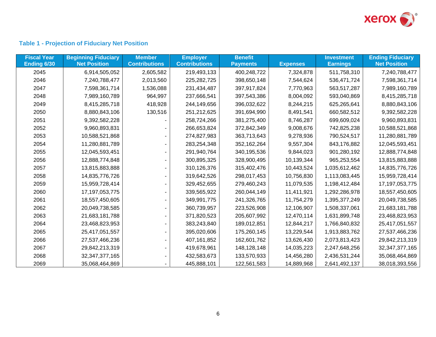

# **Table 1 - Projection of Fiduciary Net Position**

| <b>Fiscal Year</b> | <b>Beginning Fiduciary</b> | <b>Member</b>        | <b>Employer</b>      | <b>Benefit</b>  |                 | <b>Investment</b> | <b>Ending Fiduciary</b> |
|--------------------|----------------------------|----------------------|----------------------|-----------------|-----------------|-------------------|-------------------------|
| Ending 6/30        | <b>Net Position</b>        | <b>Contributions</b> | <b>Contributions</b> | <b>Payments</b> | <b>Expenses</b> | <b>Earnings</b>   | <b>Net Position</b>     |
| 2045               | 6,914,505,052              | 2,605,582            | 219,493,133          | 400,248,722     | 7,324,878       | 511,758,310       | 7,240,788,477           |
| 2046               | 7,240,788,477              | 2,013,560            | 225, 282, 725        | 398,650,148     | 7,544,624       | 536,471,724       | 7,598,361,714           |
| 2047               | 7,598,361,714              | 1,536,088            | 231,434,487          | 397,917,824     | 7,770,963       | 563,517,287       | 7,989,160,789           |
| 2048               | 7,989,160,789              | 964,997              | 237,666,541          | 397,543,386     | 8,004,092       | 593,040,869       | 8,415,285,718           |
| 2049               | 8,415,285,718              | 418,928              | 244,149,656          | 396,032,622     | 8,244,215       | 625,265,641       | 8,880,843,106           |
| 2050               | 8,880,843,106              | 130,516              | 251,212,625          | 391,694,990     | 8,491,541       | 660,582,512       | 9,392,582,228           |
| 2051               | 9,392,582,228              |                      | 258,724,266          | 381,275,400     | 8,746,287       | 699,609,024       | 9,960,893,831           |
| 2052               | 9,960,893,831              |                      | 266,653,824          | 372,842,349     | 9,008,676       | 742,825,238       | 10,588,521,868          |
| 2053               | 10,588,521,868             |                      | 274,827,983          | 363,713,643     | 9,278,936       | 790,524,517       | 11,280,881,789          |
| 2054               | 11,280,881,789             |                      | 283,254,348          | 352,162,264     | 9,557,304       | 843,176,882       | 12,045,593,451          |
| 2055               | 12,045,593,451             |                      | 291,940,764          | 340,195,536     | 9,844,023       | 901,280,192       | 12,888,774,848          |
| 2056               | 12,888,774,848             |                      | 300,895,325          | 328,900,495     | 10,139,344      | 965,253,554       | 13,815,883,888          |
| 2057               | 13,815,883,888             |                      | 310,126,376          | 315,402,476     | 10,443,524      | 1,035,612,462     | 14,835,776,726          |
| 2058               | 14,835,776,726             |                      | 319,642,526          | 298,017,453     | 10,756,830      | 1,113,083,445     | 15,959,728,414          |
| 2059               | 15,959,728,414             |                      | 329,452,655          | 279,460,243     | 11,079,535      | 1,198,412,484     | 17, 197, 053, 775       |
| 2060               | 17, 197, 053, 775          |                      | 339,565,922          | 260,044,149     | 11,411,921      | 1,292,286,978     | 18,557,450,605          |
| 2061               | 18,557,450,605             |                      | 349,991,775          | 241,326,765     | 11,754,279      | 1,395,377,249     | 20,049,738,585          |
| 2062               | 20,049,738,585             |                      | 360,739,957          | 223,526,908     | 12,106,907      | 1,508,337,061     | 21,683,181,788          |
| 2063               | 21,683,181,788             |                      | 371,820,523          | 205,607,992     | 12,470,114      | 1,631,899,748     | 23,468,823,953          |
| 2064               | 23,468,823,953             |                      | 383,243,840          | 189,012,851     | 12,844,217      | 1,766,840,832     | 25,417,051,557          |
| 2065               | 25,417,051,557             |                      | 395,020,606          | 175,260,145     | 13,229,544      | 1,913,883,762     | 27,537,466,236          |
| 2066               | 27,537,466,236             |                      | 407, 161, 852        | 162,601,762     | 13,626,430      | 2,073,813,423     | 29,842,213,319          |
| 2067               | 29,842,213,319             |                      | 419,678,961          | 148,128,148     | 14,035,223      | 2,247,648,256     | 32,347,377,165          |
| 2068               | 32,347,377,165             |                      | 432,583,673          | 133,570,933     | 14,456,280      | 2,436,531,244     | 35,068,464,869          |
| 2069               | 35,068,464,869             |                      | 445,888,101          | 122,561,583     | 14,889,968      | 2,641,492,137     | 38,018,393,556          |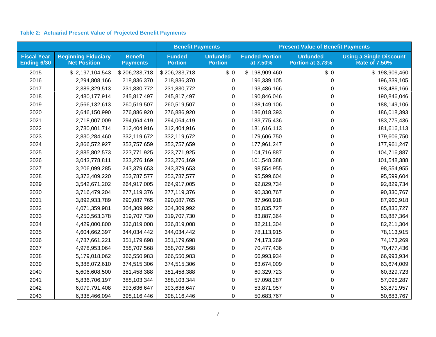#### **Table 2: Actuarial Present Value of Projected Benefit Payments**

|                                   |                                                   |                                   | <b>Benefit Payments</b>         |                                   | <b>Present Value of Benefit Payments</b> |                                     |                                                        |  |
|-----------------------------------|---------------------------------------------------|-----------------------------------|---------------------------------|-----------------------------------|------------------------------------------|-------------------------------------|--------------------------------------------------------|--|
| <b>Fiscal Year</b><br>Ending 6/30 | <b>Beginning Fiduciary</b><br><b>Net Position</b> | <b>Benefit</b><br><b>Payments</b> | <b>Funded</b><br><b>Portion</b> | <b>Unfunded</b><br><b>Portion</b> | <b>Funded Portion</b><br>at 7.50%        | <b>Unfunded</b><br>Portion at 3.73% | <b>Using a Single Discount</b><br><b>Rate of 7.50%</b> |  |
| 2015                              | \$2,197,104,543                                   | \$206,233,718                     | \$206,233,718                   | \$0                               | \$198,909,460                            | \$0                                 | \$198,909,460                                          |  |
| 2016                              | 2,294,808,166                                     | 218,836,370                       | 218,836,370                     | 0                                 | 196,339,105                              | $\Omega$                            | 196,339,105                                            |  |
| 2017                              | 2,389,329,513                                     | 231,830,772                       | 231,830,772                     | 0                                 | 193,486,166                              | $\Omega$                            | 193,486,166                                            |  |
| 2018                              | 2,480,177,914                                     | 245,817,497                       | 245,817,497                     | 0                                 | 190,846,046                              | 0                                   | 190,846,046                                            |  |
| 2019                              | 2,566,132,613                                     | 260,519,507                       | 260,519,507                     | 0                                 | 188,149,106                              | $\Omega$                            | 188,149,106                                            |  |
| 2020                              | 2,646,150,990                                     | 276,886,920                       | 276,886,920                     | 0                                 | 186,018,393                              | 0                                   | 186,018,393                                            |  |
| 2021                              | 2,718,007,009                                     | 294,064,419                       | 294,064,419                     | 0                                 | 183,775,436                              | 0                                   | 183,775,436                                            |  |
| 2022                              | 2,780,001,714                                     | 312,404,916                       | 312,404,916                     | 0                                 | 181,616,113                              | $\Omega$                            | 181,616,113                                            |  |
| 2023                              | 2,830,284,460                                     | 332,119,672                       | 332,119,672                     | 0                                 | 179,606,750                              | $\boldsymbol{0}$                    | 179,606,750                                            |  |
| 2024                              | 2,866,572,927                                     | 353,757,659                       | 353,757,659                     | 0                                 | 177,961,247                              | 0                                   | 177,961,247                                            |  |
| 2025                              | 2,885,802,573                                     | 223,771,925                       | 223,771,925                     | 0                                 | 104,716,887                              | 0                                   | 104,716,887                                            |  |
| 2026                              | 3,043,778,811                                     | 233,276,169                       | 233,276,169                     | $\Omega$                          | 101,548,388                              | 0                                   | 101,548,388                                            |  |
| 2027                              | 3,206,099,285                                     | 243,379,653                       | 243,379,653                     | 0                                 | 98,554,955                               | 0                                   | 98,554,955                                             |  |
| 2028                              | 3,372,409,220                                     | 253,787,577                       | 253,787,577                     | 0                                 | 95,599,604                               | 0                                   | 95,599,604                                             |  |
| 2029                              | 3,542,671,202                                     | 264,917,005                       | 264,917,005                     | 0                                 | 92,829,734                               | 0                                   | 92,829,734                                             |  |
| 2030                              | 3,716,479,204                                     | 277,119,376                       | 277,119,376                     | 0                                 | 90,330,767                               | 0                                   | 90,330,767                                             |  |
| 2031                              | 3,892,933,789                                     | 290,087,765                       | 290,087,765                     | 0                                 | 87,960,918                               | 0                                   | 87,960,918                                             |  |
| 2032                              | 4,071,359,981                                     | 304,309,992                       | 304,309,992                     | 0                                 | 85,835,727                               | $\Omega$                            | 85,835,727                                             |  |
| 2033                              | 4,250,563,378                                     | 319,707,730                       | 319,707,730                     | 0                                 | 83,887,364                               | $\Omega$                            | 83,887,364                                             |  |
| 2034                              | 4,429,000,800                                     | 336,819,008                       | 336,819,008                     | 0                                 | 82,211,304                               | 0                                   | 82,211,304                                             |  |
| 2035                              | 4,604,662,397                                     | 344,034,442                       | 344,034,442                     | 0                                 | 78,113,915                               | 0                                   | 78,113,915                                             |  |
| 2036                              | 4,787,661,221                                     | 351,179,698                       | 351,179,698                     | 0                                 | 74,173,269                               | 0                                   | 74,173,269                                             |  |
| 2037                              | 4,978,953,064                                     | 358,707,568                       | 358,707,568                     | 0                                 | 70,477,436                               | 0                                   | 70,477,436                                             |  |
| 2038                              | 5,179,018,062                                     | 366,550,983                       | 366,550,983                     | 0                                 | 66,993,934                               | 0                                   | 66,993,934                                             |  |
| 2039                              | 5,388,072,610                                     | 374,515,306                       | 374,515,306                     | 0                                 | 63,674,009                               | 0                                   | 63,674,009                                             |  |
| 2040                              | 5,606,608,500                                     | 381,458,388                       | 381,458,388                     | 0                                 | 60,329,723                               | 0                                   | 60,329,723                                             |  |
| 2041                              | 5,836,706,197                                     | 388,103,344                       | 388,103,344                     | $\Omega$                          | 57,098,287                               | $\Omega$                            | 57,098,287                                             |  |
| 2042                              | 6,079,791,408                                     | 393,636,647                       | 393,636,647                     | 0                                 | 53,871,957                               | 0                                   | 53,871,957                                             |  |
| 2043                              | 6,338,466,094                                     | 398,116,446                       | 398,116,446                     | 0                                 | 50,683,767                               | 0                                   | 50,683,767                                             |  |